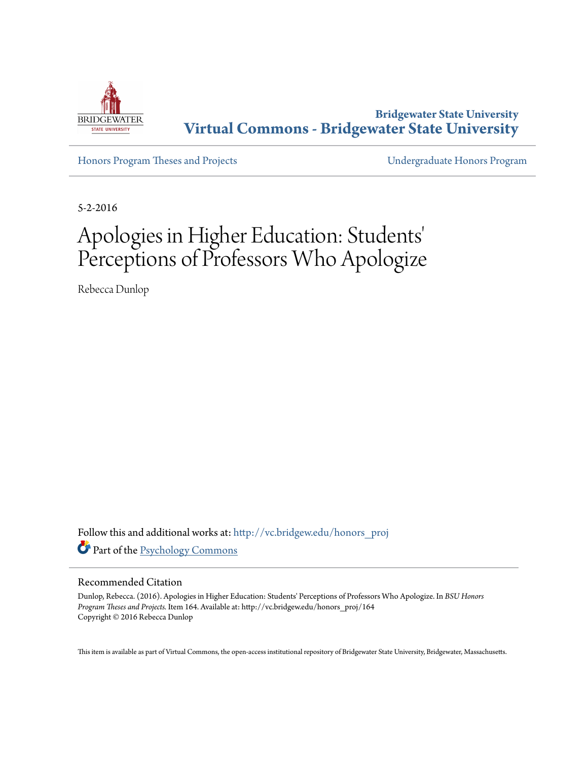

**Bridgewater State University [Virtual Commons - Bridgewater State University](http://vc.bridgew.edu?utm_source=vc.bridgew.edu%2Fhonors_proj%2F164&utm_medium=PDF&utm_campaign=PDFCoverPages)**

[Honors Program Theses and Projects](http://vc.bridgew.edu/honors_proj?utm_source=vc.bridgew.edu%2Fhonors_proj%2F164&utm_medium=PDF&utm_campaign=PDFCoverPages) [Undergraduate Honors Program](http://vc.bridgew.edu/honors?utm_source=vc.bridgew.edu%2Fhonors_proj%2F164&utm_medium=PDF&utm_campaign=PDFCoverPages)

5-2-2016

# Apologies in Higher Education: Students 'Perceptions of Professors Who Apologize

Rebecca Dunlop

Follow this and additional works at: [http://vc.bridgew.edu/honors\\_proj](http://vc.bridgew.edu/honors_proj?utm_source=vc.bridgew.edu%2Fhonors_proj%2F164&utm_medium=PDF&utm_campaign=PDFCoverPages) Part of the [Psychology Commons](http://network.bepress.com/hgg/discipline/404?utm_source=vc.bridgew.edu%2Fhonors_proj%2F164&utm_medium=PDF&utm_campaign=PDFCoverPages)

#### Recommended Citation

Dunlop, Rebecca. (2016). Apologies in Higher Education: Students' Perceptions of Professors Who Apologize. In *BSU Honors Program Theses and Projects.* Item 164. Available at: http://vc.bridgew.edu/honors\_proj/164 Copyright © 2016 Rebecca Dunlop

This item is available as part of Virtual Commons, the open-access institutional repository of Bridgewater State University, Bridgewater, Massachusetts.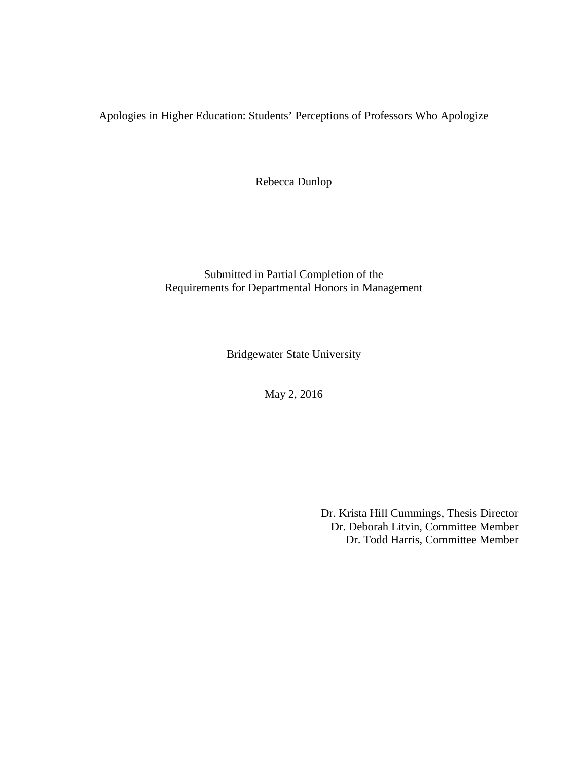Apologies in Higher Education: Students' Perceptions of Professors Who Apologize

Rebecca Dunlop

Submitted in Partial Completion of the Requirements for Departmental Honors in Management

Bridgewater State University

May 2, 2016

Dr. Krista Hill Cummings, Thesis Director Dr. Deborah Litvin, Committee Member Dr. Todd Harris, Committee Member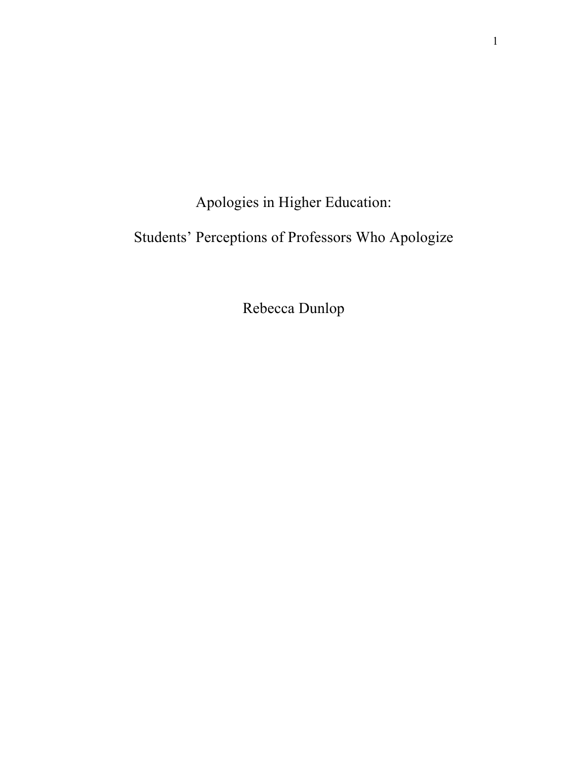Apologies in Higher Education:

# Students' Perceptions of Professors Who Apologize

Rebecca Dunlop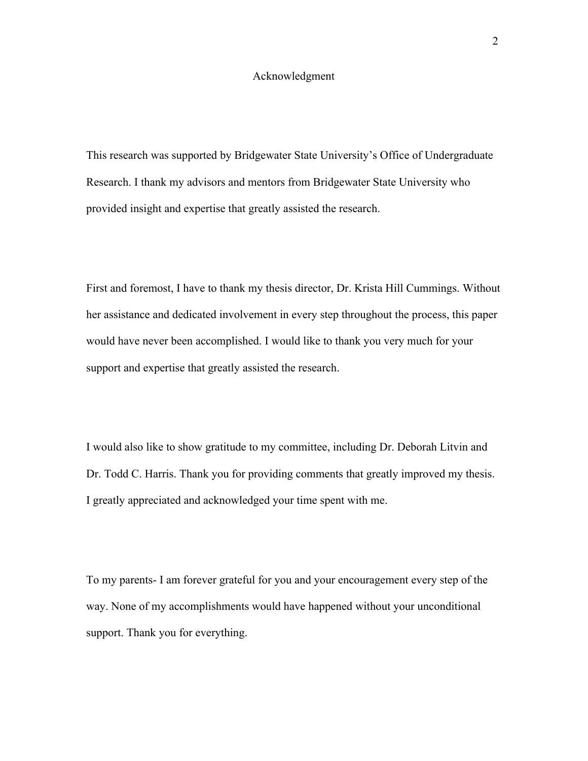#### Acknowledgment

This research was supported by Bridgewater State University's Office of Undergraduate Research. I thank my advisors and mentors from Bridgewater State University who provided insight and expertise that greatly assisted the research.

First and foremost, I have to thank my thesis director, Dr. Krista Hill Cummings. Without her assistance and dedicated involvement in every step throughout the process, this paper would have never been accomplished. I would like to thank you very much for your support and expertise that greatly assisted the research.

I would also like to show gratitude to my committee, including Dr. Deborah Litvin and Dr. Todd C. Harris. Thank you for providing comments that greatly improved my thesis. I greatly appreciated and acknowledged your time spent with me.

To my parents- I am forever grateful for you and your encouragement every step of the way. None of my accomplishments would have happened without your unconditional support. Thank you for everything.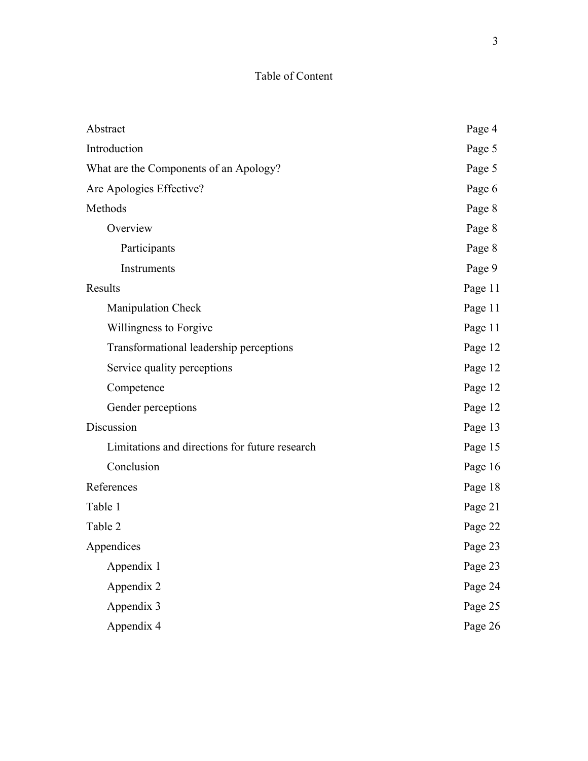### Table of Content

| Abstract                                       | Page 4  |
|------------------------------------------------|---------|
| Introduction                                   | Page 5  |
| What are the Components of an Apology?         | Page 5  |
| Are Apologies Effective?                       | Page 6  |
| Methods                                        | Page 8  |
| Overview                                       | Page 8  |
| Participants                                   | Page 8  |
| Instruments                                    | Page 9  |
| Results                                        | Page 11 |
| <b>Manipulation Check</b>                      | Page 11 |
| Willingness to Forgive                         | Page 11 |
| Transformational leadership perceptions        | Page 12 |
| Service quality perceptions                    | Page 12 |
| Competence                                     | Page 12 |
| Gender perceptions                             | Page 12 |
| Discussion                                     | Page 13 |
| Limitations and directions for future research | Page 15 |
| Conclusion                                     | Page 16 |
| References                                     | Page 18 |
| Table 1                                        | Page 21 |
| Table 2                                        | Page 22 |
| Appendices                                     | Page 23 |
| Appendix 1                                     | Page 23 |
| Appendix 2                                     | Page 24 |
| Appendix 3                                     | Page 25 |
| Appendix 4                                     | Page 26 |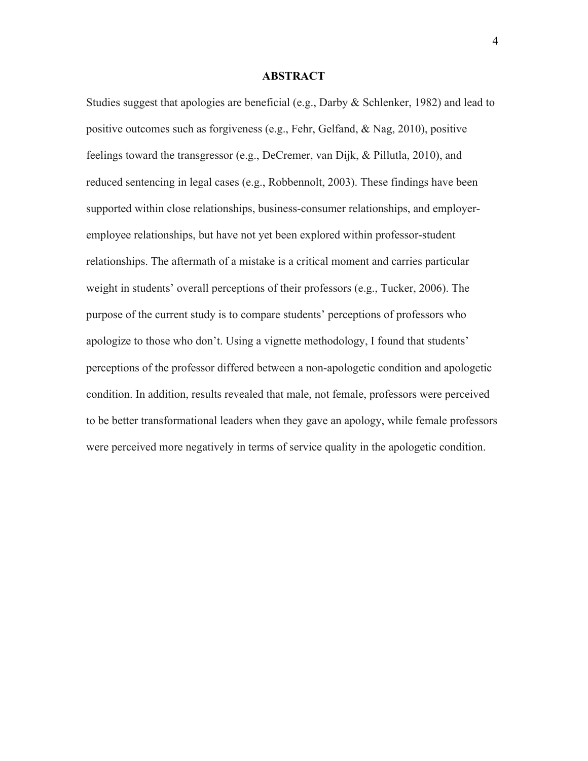#### **ABSTRACT**

Studies suggest that apologies are beneficial (e.g., Darby & Schlenker, 1982) and lead to positive outcomes such as forgiveness (e.g., Fehr, Gelfand, & Nag, 2010), positive feelings toward the transgressor (e.g., DeCremer, van Dijk, & Pillutla, 2010), and reduced sentencing in legal cases (e.g., Robbennolt, 2003). These findings have been supported within close relationships, business-consumer relationships, and employeremployee relationships, but have not yet been explored within professor-student relationships. The aftermath of a mistake is a critical moment and carries particular weight in students' overall perceptions of their professors (e.g., Tucker, 2006). The purpose of the current study is to compare students' perceptions of professors who apologize to those who don't. Using a vignette methodology, I found that students' perceptions of the professor differed between a non-apologetic condition and apologetic condition. In addition, results revealed that male, not female, professors were perceived to be better transformational leaders when they gave an apology, while female professors were perceived more negatively in terms of service quality in the apologetic condition.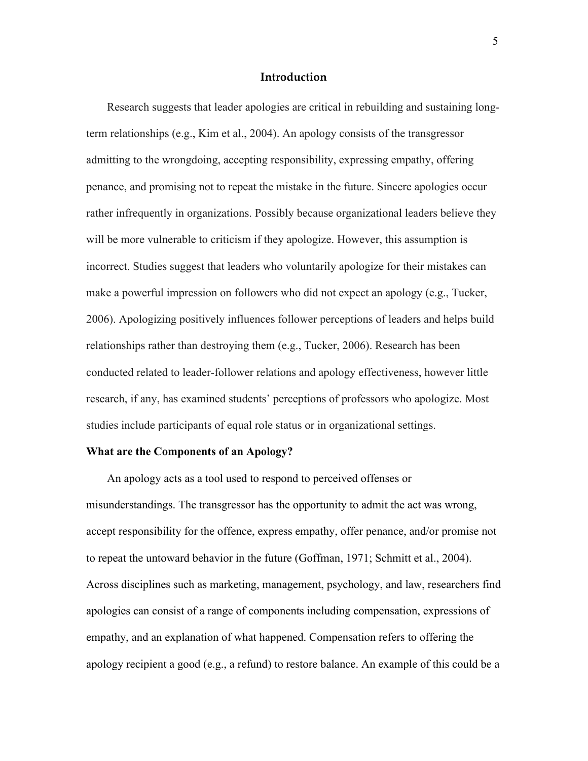#### **Introduction**

Research suggests that leader apologies are critical in rebuilding and sustaining longterm relationships (e.g., Kim et al., 2004). An apology consists of the transgressor admitting to the wrongdoing, accepting responsibility, expressing empathy, offering penance, and promising not to repeat the mistake in the future. Sincere apologies occur rather infrequently in organizations. Possibly because organizational leaders believe they will be more vulnerable to criticism if they apologize. However, this assumption is incorrect. Studies suggest that leaders who voluntarily apologize for their mistakes can make a powerful impression on followers who did not expect an apology (e.g., Tucker, 2006). Apologizing positively influences follower perceptions of leaders and helps build relationships rather than destroying them (e.g., Tucker, 2006). Research has been conducted related to leader-follower relations and apology effectiveness, however little research, if any, has examined students' perceptions of professors who apologize. Most studies include participants of equal role status or in organizational settings.

#### **What are the Components of an Apology?**

An apology acts as a tool used to respond to perceived offenses or misunderstandings. The transgressor has the opportunity to admit the act was wrong, accept responsibility for the offence, express empathy, offer penance, and/or promise not to repeat the untoward behavior in the future (Goffman, 1971; Schmitt et al., 2004). Across disciplines such as marketing, management, psychology, and law, researchers find apologies can consist of a range of components including compensation, expressions of empathy, and an explanation of what happened. Compensation refers to offering the apology recipient a good (e.g., a refund) to restore balance. An example of this could be a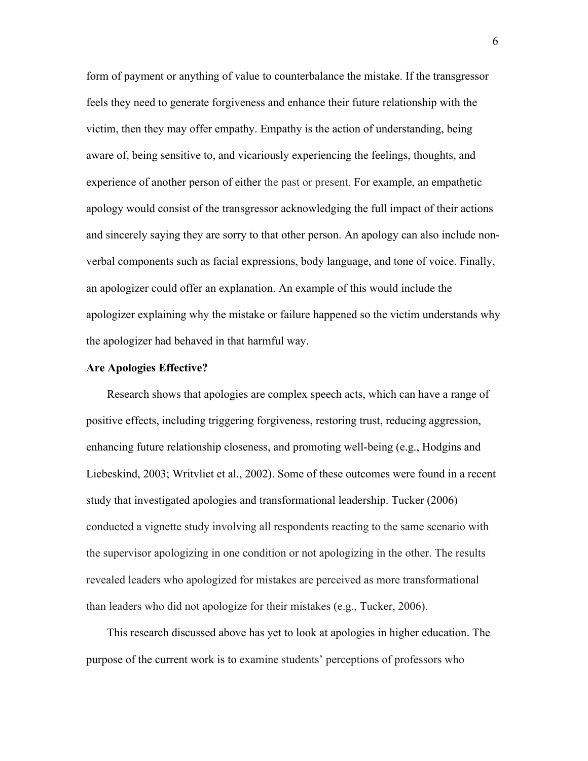form of payment or anything of value to counterbalance the mistake. If the transgressor feels they need to generate forgiveness and enhance their future relationship with the victim, then they may offer empathy. Empathy is the action of understanding, being aware of, being sensitive to, and vicariously experiencing the feelings, thoughts, and experience of another person of either the past or present. For example, an empathetic apology would consist of the transgressor acknowledging the full impact of their actions and sincerely saying they are sorry to that other person. An apology can also include nonverbal components such as facial expressions, body language, and tone of voice. Finally, an apologizer could offer an explanation. An example of this would include the apologizer explaining why the mistake or failure happened so the victim understands why the apologizer had behaved in that harmful way.

#### **Are Apologies Effective?**

Research shows that apologies are complex speech acts, which can have a range of positive effects, including triggering forgiveness, restoring trust, reducing aggression, enhancing future relationship closeness, and promoting well-being (e.g., Hodgins and Liebeskind, 2003; Writvliet et al., 2002). Some of these outcomes were found in a recent study that investigated apologies and transformational leadership. Tucker (2006) conducted a vignette study involving all respondents reacting to the same scenario with the supervisor apologizing in one condition or not apologizing in the other. The results revealed leaders who apologized for mistakes are perceived as more transformational than leaders who did not apologize for their mistakes (e.g., Tucker, 2006).

This research discussed above has yet to look at apologies in higher education. The purpose of the current work is to examine students' perceptions of professors who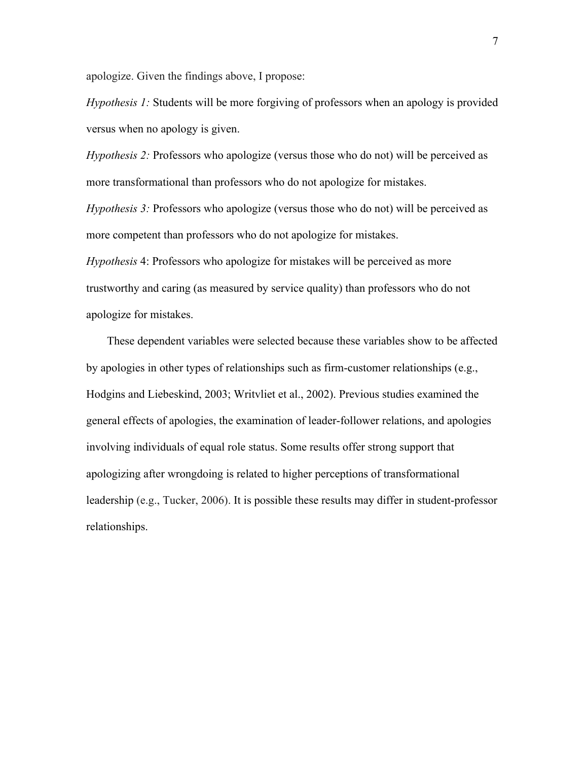apologize. Given the findings above, I propose:

*Hypothesis 1:* Students will be more forgiving of professors when an apology is provided versus when no apology is given.

*Hypothesis 2:* Professors who apologize (versus those who do not) will be perceived as more transformational than professors who do not apologize for mistakes.

*Hypothesis 3:* Professors who apologize (versus those who do not) will be perceived as more competent than professors who do not apologize for mistakes.

*Hypothesis* 4: Professors who apologize for mistakes will be perceived as more trustworthy and caring (as measured by service quality) than professors who do not apologize for mistakes.

These dependent variables were selected because these variables show to be affected by apologies in other types of relationships such as firm-customer relationships (e.g., Hodgins and Liebeskind, 2003; Writvliet et al., 2002). Previous studies examined the general effects of apologies, the examination of leader-follower relations, and apologies involving individuals of equal role status. Some results offer strong support that apologizing after wrongdoing is related to higher perceptions of transformational leadership (e.g., Tucker, 2006). It is possible these results may differ in student-professor relationships.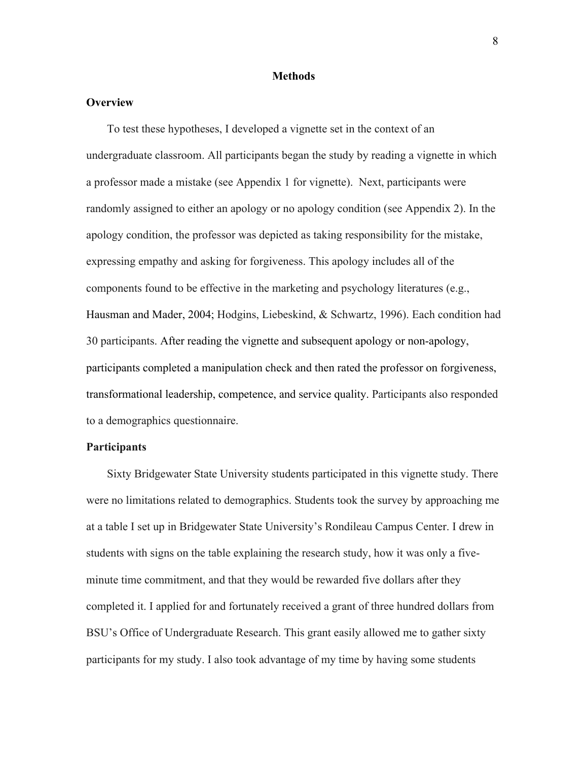#### **Methods**

#### **Overview**

To test these hypotheses, I developed a vignette set in the context of an undergraduate classroom. All participants began the study by reading a vignette in which a professor made a mistake (see Appendix 1 for vignette). Next, participants were randomly assigned to either an apology or no apology condition (see Appendix 2). In the apology condition, the professor was depicted as taking responsibility for the mistake, expressing empathy and asking for forgiveness. This apology includes all of the components found to be effective in the marketing and psychology literatures (e.g., Hausman and Mader, 2004; Hodgins, Liebeskind, & Schwartz, 1996). Each condition had 30 participants. After reading the vignette and subsequent apology or non-apology, participants completed a manipulation check and then rated the professor on forgiveness, transformational leadership, competence, and service quality. Participants also responded to a demographics questionnaire.

#### **Participants**

Sixty Bridgewater State University students participated in this vignette study. There were no limitations related to demographics. Students took the survey by approaching me at a table I set up in Bridgewater State University's Rondileau Campus Center. I drew in students with signs on the table explaining the research study, how it was only a fiveminute time commitment, and that they would be rewarded five dollars after they completed it. I applied for and fortunately received a grant of three hundred dollars from BSU's Office of Undergraduate Research. This grant easily allowed me to gather sixty participants for my study. I also took advantage of my time by having some students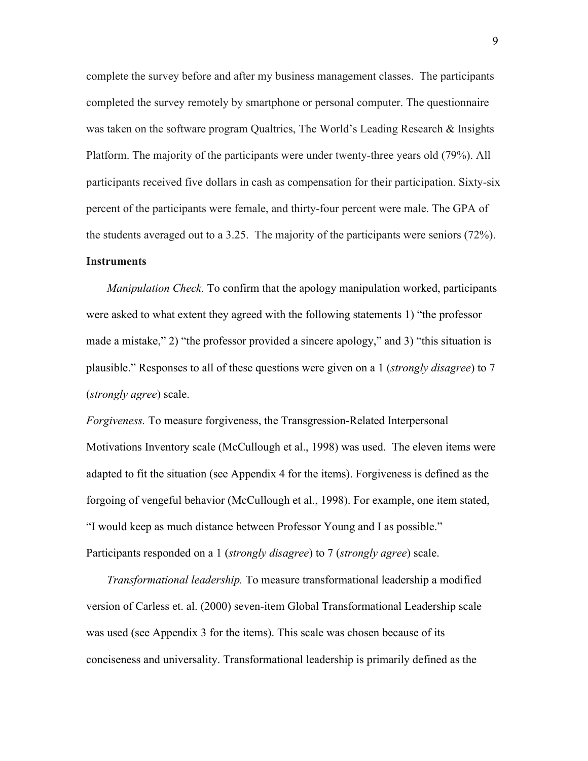complete the survey before and after my business management classes. The participants completed the survey remotely by smartphone or personal computer. The questionnaire was taken on the software program Qualtrics, The World's Leading Research & Insights Platform. The majority of the participants were under twenty-three years old (79%). All participants received five dollars in cash as compensation for their participation. Sixty-six percent of the participants were female, and thirty-four percent were male. The GPA of the students averaged out to a 3.25. The majority of the participants were seniors (72%).

#### **Instruments**

*Manipulation Check.* To confirm that the apology manipulation worked, participants were asked to what extent they agreed with the following statements 1) "the professor made a mistake," 2) "the professor provided a sincere apology," and 3) "this situation is plausible." Responses to all of these questions were given on a 1 (*strongly disagree*) to 7 (*strongly agree*) scale.

*Forgiveness.* To measure forgiveness, the Transgression-Related Interpersonal Motivations Inventory scale (McCullough et al., 1998) was used. The eleven items were adapted to fit the situation (see Appendix 4 for the items). Forgiveness is defined as the forgoing of vengeful behavior (McCullough et al., 1998). For example, one item stated, "I would keep as much distance between Professor Young and I as possible." Participants responded on a 1 (*strongly disagree*) to 7 (*strongly agree*) scale.

*Transformational leadership.* To measure transformational leadership a modified version of Carless et. al. (2000) seven-item Global Transformational Leadership scale was used (see Appendix 3 for the items). This scale was chosen because of its conciseness and universality. Transformational leadership is primarily defined as the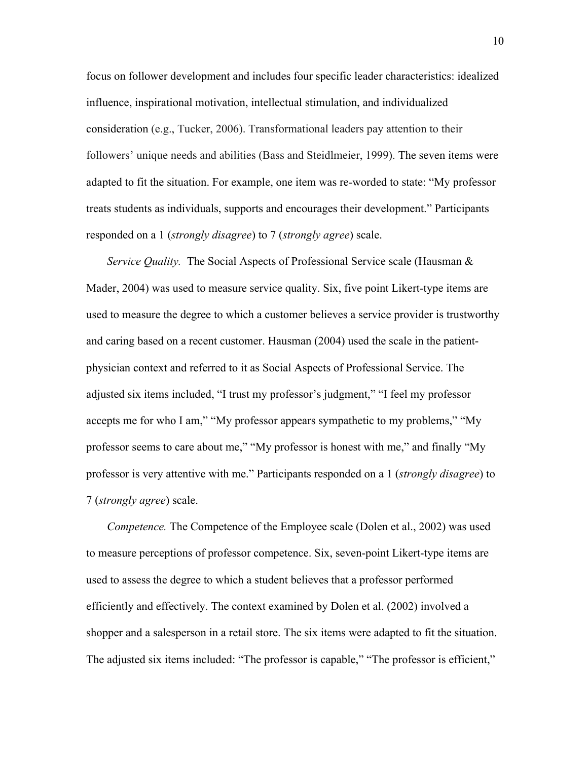focus on follower development and includes four specific leader characteristics: idealized influence, inspirational motivation, intellectual stimulation, and individualized consideration (e.g., Tucker, 2006). Transformational leaders pay attention to their followers' unique needs and abilities (Bass and Steidlmeier, 1999). The seven items were adapted to fit the situation. For example, one item was re-worded to state: "My professor treats students as individuals, supports and encourages their development." Participants responded on a 1 (*strongly disagree*) to 7 (*strongly agree*) scale.

*Service Quality.* The Social Aspects of Professional Service scale (Hausman & Mader, 2004) was used to measure service quality. Six, five point Likert-type items are used to measure the degree to which a customer believes a service provider is trustworthy and caring based on a recent customer. Hausman (2004) used the scale in the patientphysician context and referred to it as Social Aspects of Professional Service. The adjusted six items included, "I trust my professor's judgment," "I feel my professor accepts me for who I am," "My professor appears sympathetic to my problems," "My professor seems to care about me," "My professor is honest with me," and finally "My professor is very attentive with me." Participants responded on a 1 (*strongly disagree*) to 7 (*strongly agree*) scale.

*Competence.* The Competence of the Employee scale (Dolen et al., 2002) was used to measure perceptions of professor competence. Six, seven-point Likert-type items are used to assess the degree to which a student believes that a professor performed efficiently and effectively. The context examined by Dolen et al. (2002) involved a shopper and a salesperson in a retail store. The six items were adapted to fit the situation. The adjusted six items included: "The professor is capable," "The professor is efficient,"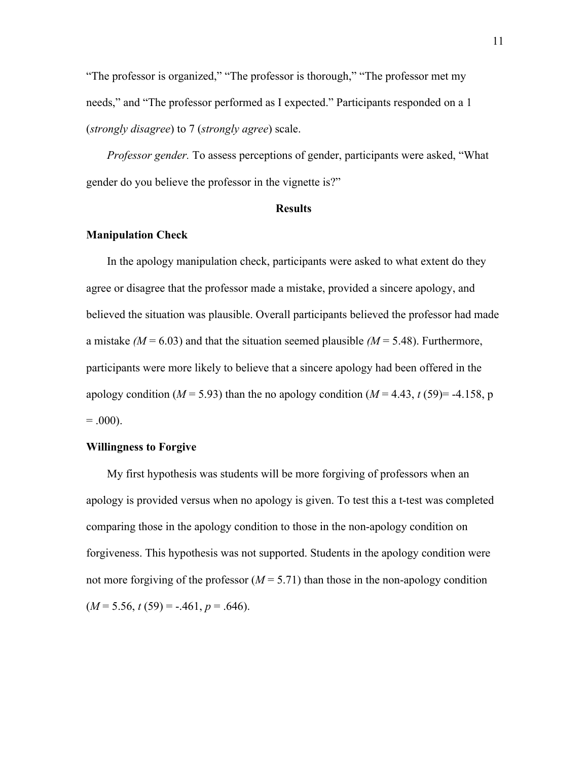"The professor is organized," "The professor is thorough," "The professor met my needs," and "The professor performed as I expected." Participants responded on a 1 (*strongly disagree*) to 7 (*strongly agree*) scale.

*Professor gender.* To assess perceptions of gender, participants were asked, "What gender do you believe the professor in the vignette is?"

#### **Results**

#### **Manipulation Check**

In the apology manipulation check, participants were asked to what extent do they agree or disagree that the professor made a mistake, provided a sincere apology, and believed the situation was plausible. Overall participants believed the professor had made a mistake  $(M = 6.03)$  and that the situation seemed plausible  $(M = 5.48)$ . Furthermore, participants were more likely to believe that a sincere apology had been offered in the apology condition ( $M = 5.93$ ) than the no apology condition ( $M = 4.43$ ,  $t(59) = -4.158$ , p  $= .000$ ).

#### **Willingness to Forgive**

My first hypothesis was students will be more forgiving of professors when an apology is provided versus when no apology is given. To test this a t-test was completed comparing those in the apology condition to those in the non-apology condition on forgiveness. This hypothesis was not supported. Students in the apology condition were not more forgiving of the professor  $(M = 5.71)$  than those in the non-apology condition  $(M = 5.56, t(59) = -.461, p = .646)$ .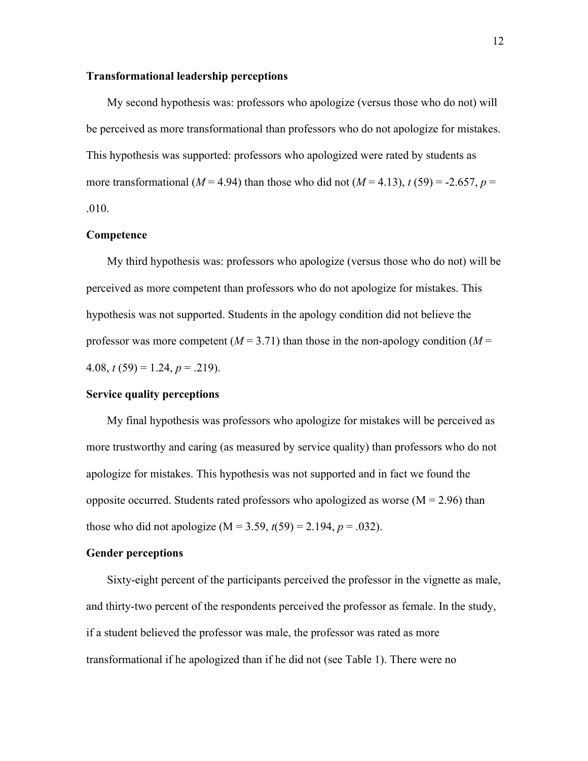#### **Transformational leadership perceptions**

My second hypothesis was: professors who apologize (versus those who do not) will be perceived as more transformational than professors who do not apologize for mistakes. This hypothesis was supported: professors who apologized were rated by students as more transformational ( $M = 4.94$ ) than those who did not ( $M = 4.13$ ),  $t(59) = -2.657$ ,  $p =$ .010.

### **Competence**

My third hypothesis was: professors who apologize (versus those who do not) will be perceived as more competent than professors who do not apologize for mistakes. This hypothesis was not supported. Students in the apology condition did not believe the professor was more competent  $(M = 3.71)$  than those in the non-apology condition  $(M = 100)$ 4.08,  $t(59) = 1.24$ ,  $p = .219$ ).

#### **Service quality perceptions**

My final hypothesis was professors who apologize for mistakes will be perceived as more trustworthy and caring (as measured by service quality) than professors who do not apologize for mistakes. This hypothesis was not supported and in fact we found the opposite occurred. Students rated professors who apologized as worse  $(M = 2.96)$  than those who did not apologize ( $M = 3.59$ ,  $t(59) = 2.194$ ,  $p = .032$ ).

#### **Gender perceptions**

Sixty-eight percent of the participants perceived the professor in the vignette as male, and thirty-two percent of the respondents perceived the professor as female. In the study, if a student believed the professor was male, the professor was rated as more transformational if he apologized than if he did not (see Table 1). There were no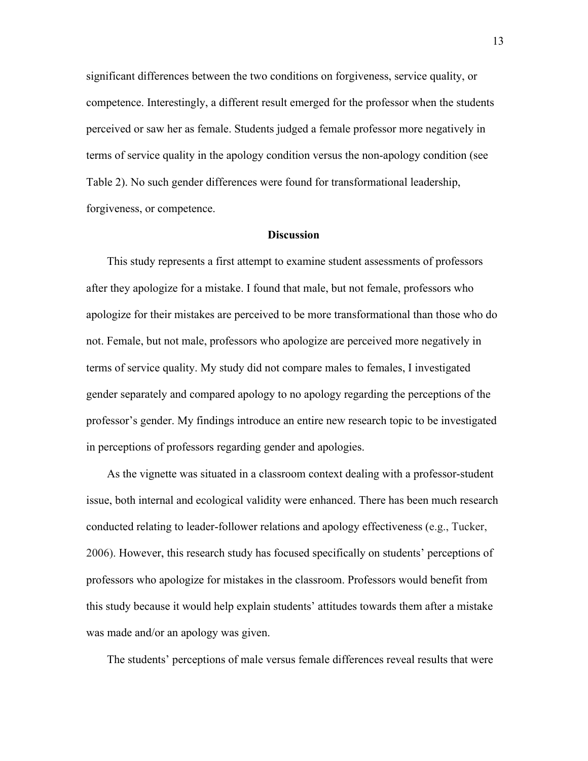significant differences between the two conditions on forgiveness, service quality, or competence. Interestingly, a different result emerged for the professor when the students perceived or saw her as female. Students judged a female professor more negatively in terms of service quality in the apology condition versus the non-apology condition (see Table 2). No such gender differences were found for transformational leadership, forgiveness, or competence.

### **Discussion**

This study represents a first attempt to examine student assessments of professors after they apologize for a mistake. I found that male, but not female, professors who apologize for their mistakes are perceived to be more transformational than those who do not. Female, but not male, professors who apologize are perceived more negatively in terms of service quality. My study did not compare males to females, I investigated gender separately and compared apology to no apology regarding the perceptions of the professor's gender. My findings introduce an entire new research topic to be investigated in perceptions of professors regarding gender and apologies.

As the vignette was situated in a classroom context dealing with a professor-student issue, both internal and ecological validity were enhanced. There has been much research conducted relating to leader-follower relations and apology effectiveness (e.g., Tucker, 2006). However, this research study has focused specifically on students' perceptions of professors who apologize for mistakes in the classroom. Professors would benefit from this study because it would help explain students' attitudes towards them after a mistake was made and/or an apology was given.

The students' perceptions of male versus female differences reveal results that were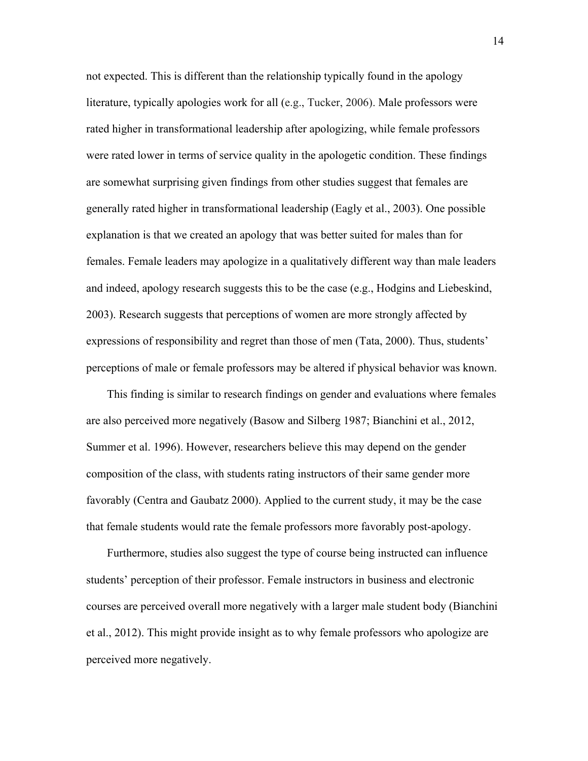not expected. This is different than the relationship typically found in the apology literature, typically apologies work for all (e.g., Tucker, 2006). Male professors were rated higher in transformational leadership after apologizing, while female professors were rated lower in terms of service quality in the apologetic condition. These findings are somewhat surprising given findings from other studies suggest that females are generally rated higher in transformational leadership (Eagly et al., 2003). One possible explanation is that we created an apology that was better suited for males than for females. Female leaders may apologize in a qualitatively different way than male leaders and indeed, apology research suggests this to be the case (e.g., Hodgins and Liebeskind, 2003). Research suggests that perceptions of women are more strongly affected by expressions of responsibility and regret than those of men (Tata, 2000). Thus, students' perceptions of male or female professors may be altered if physical behavior was known.

This finding is similar to research findings on gender and evaluations where females are also perceived more negatively (Basow and Silberg 1987; Bianchini et al., 2012, Summer et al. 1996). However, researchers believe this may depend on the gender composition of the class, with students rating instructors of their same gender more favorably (Centra and Gaubatz 2000). Applied to the current study, it may be the case that female students would rate the female professors more favorably post-apology.

Furthermore, studies also suggest the type of course being instructed can influence students' perception of their professor. Female instructors in business and electronic courses are perceived overall more negatively with a larger male student body (Bianchini et al., 2012). This might provide insight as to why female professors who apologize are perceived more negatively.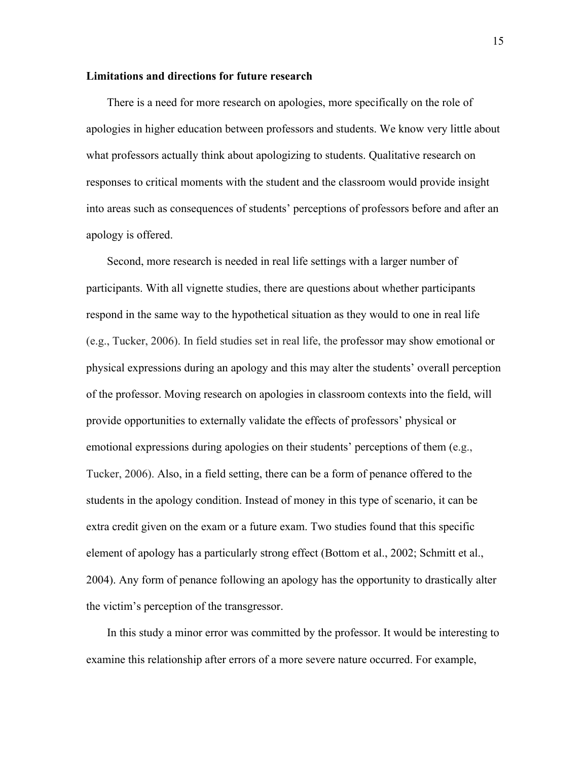#### **Limitations and directions for future research**

There is a need for more research on apologies, more specifically on the role of apologies in higher education between professors and students. We know very little about what professors actually think about apologizing to students. Qualitative research on responses to critical moments with the student and the classroom would provide insight into areas such as consequences of students' perceptions of professors before and after an apology is offered.

Second, more research is needed in real life settings with a larger number of participants. With all vignette studies, there are questions about whether participants respond in the same way to the hypothetical situation as they would to one in real life (e.g., Tucker, 2006). In field studies set in real life, the professor may show emotional or physical expressions during an apology and this may alter the students' overall perception of the professor. Moving research on apologies in classroom contexts into the field, will provide opportunities to externally validate the effects of professors' physical or emotional expressions during apologies on their students' perceptions of them (e.g., Tucker, 2006). Also, in a field setting, there can be a form of penance offered to the students in the apology condition. Instead of money in this type of scenario, it can be extra credit given on the exam or a future exam. Two studies found that this specific element of apology has a particularly strong effect (Bottom et al., 2002; Schmitt et al., 2004). Any form of penance following an apology has the opportunity to drastically alter the victim's perception of the transgressor.

In this study a minor error was committed by the professor. It would be interesting to examine this relationship after errors of a more severe nature occurred. For example,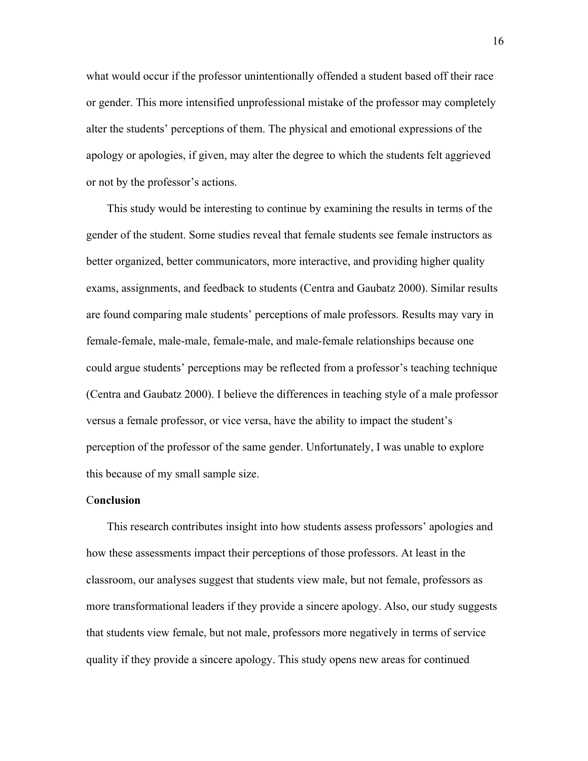what would occur if the professor unintentionally offended a student based off their race or gender. This more intensified unprofessional mistake of the professor may completely alter the students' perceptions of them. The physical and emotional expressions of the apology or apologies, if given, may alter the degree to which the students felt aggrieved or not by the professor's actions.

This study would be interesting to continue by examining the results in terms of the gender of the student. Some studies reveal that female students see female instructors as better organized, better communicators, more interactive, and providing higher quality exams, assignments, and feedback to students (Centra and Gaubatz 2000). Similar results are found comparing male students' perceptions of male professors. Results may vary in female-female, male-male, female-male, and male-female relationships because one could argue students' perceptions may be reflected from a professor's teaching technique (Centra and Gaubatz 2000). I believe the differences in teaching style of a male professor versus a female professor, or vice versa, have the ability to impact the student's perception of the professor of the same gender. Unfortunately, I was unable to explore this because of my small sample size.

#### C**onclusion**

This research contributes insight into how students assess professors' apologies and how these assessments impact their perceptions of those professors. At least in the classroom, our analyses suggest that students view male, but not female, professors as more transformational leaders if they provide a sincere apology. Also, our study suggests that students view female, but not male, professors more negatively in terms of service quality if they provide a sincere apology. This study opens new areas for continued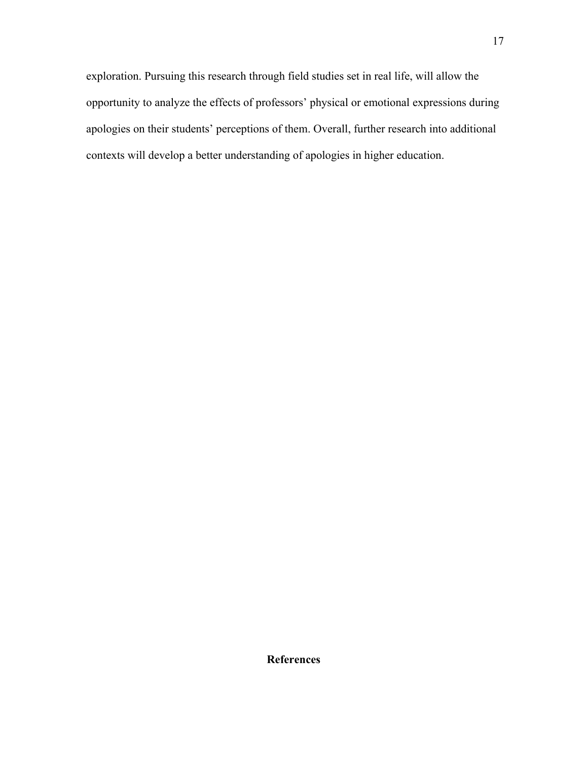exploration. Pursuing this research through field studies set in real life, will allow the opportunity to analyze the effects of professors' physical or emotional expressions during apologies on their students' perceptions of them. Overall, further research into additional contexts will develop a better understanding of apologies in higher education.

**References**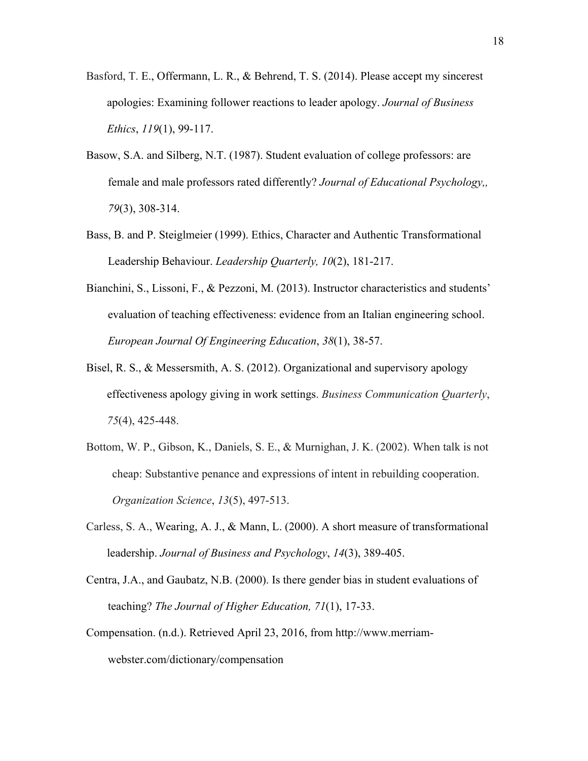- Basford, T. E., Offermann, L. R., & Behrend, T. S. (2014). Please accept my sincerest apologies: Examining follower reactions to leader apology. *Journal of Business Ethics*, *119*(1), 99-117.
- Basow, S.A. and Silberg, N.T. (1987). Student evaluation of college professors: are female and male professors rated differently? *Journal of Educational Psychology,, 79*(3), 308-314.
- Bass, B. and P. Steiglmeier (1999). Ethics, Character and Authentic Transformational Leadership Behaviour. *Leadership Quarterly, 10*(2), 181-217.
- Bianchini, S., Lissoni, F., & Pezzoni, M. (2013). Instructor characteristics and students' evaluation of teaching effectiveness: evidence from an Italian engineering school. *European Journal Of Engineering Education*, *38*(1), 38-57.
- Bisel, R. S., & Messersmith, A. S. (2012). Organizational and supervisory apology effectiveness apology giving in work settings. *Business Communication Quarterly*, *75*(4), 425-448.
- Bottom, W. P., Gibson, K., Daniels, S. E., & Murnighan, J. K. (2002). When talk is not cheap: Substantive penance and expressions of intent in rebuilding cooperation. *Organization Science*, *13*(5), 497-513.
- Carless, S. A., Wearing, A. J., & Mann, L. (2000). A short measure of transformational leadership. *Journal of Business and Psychology*, *14*(3), 389-405.
- Centra, J.A., and Gaubatz, N.B. (2000). Is there gender bias in student evaluations of teaching? *The Journal of Higher Education, 71*(1), 17-33.
- Compensation. (n.d.). Retrieved April 23, 2016, from http://www.merriamwebster.com/dictionary/compensation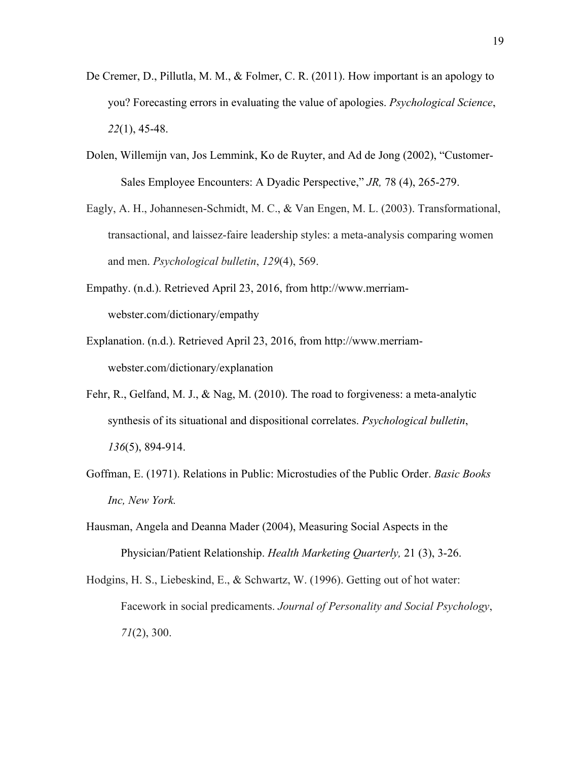- De Cremer, D., Pillutla, M. M., & Folmer, C. R. (2011). How important is an apology to you? Forecasting errors in evaluating the value of apologies. *Psychological Science*, *22*(1), 45-48.
- Dolen, Willemijn van, Jos Lemmink, Ko de Ruyter, and Ad de Jong (2002), "Customer-Sales Employee Encounters: A Dyadic Perspective," *JR,* 78 (4), 265-279.
- Eagly, A. H., Johannesen-Schmidt, M. C., & Van Engen, M. L. (2003). Transformational, transactional, and laissez-faire leadership styles: a meta-analysis comparing women and men. *Psychological bulletin*, *129*(4), 569.
- Empathy. (n.d.). Retrieved April 23, 2016, from http://www.merriamwebster.com/dictionary/empathy
- Explanation. (n.d.). Retrieved April 23, 2016, from http://www.merriamwebster.com/dictionary/explanation
- Fehr, R., Gelfand, M. J., & Nag, M. (2010). The road to forgiveness: a meta-analytic synthesis of its situational and dispositional correlates. *Psychological bulletin*, *136*(5), 894-914.
- Goffman, E. (1971). Relations in Public: Microstudies of the Public Order. *Basic Books Inc, New York.*
- Hausman, Angela and Deanna Mader (2004), Measuring Social Aspects in the Physician/Patient Relationship. *Health Marketing Quarterly,* 21 (3), 3-26.
- Hodgins, H. S., Liebeskind, E., & Schwartz, W. (1996). Getting out of hot water: Facework in social predicaments. *Journal of Personality and Social Psychology*, *71*(2), 300.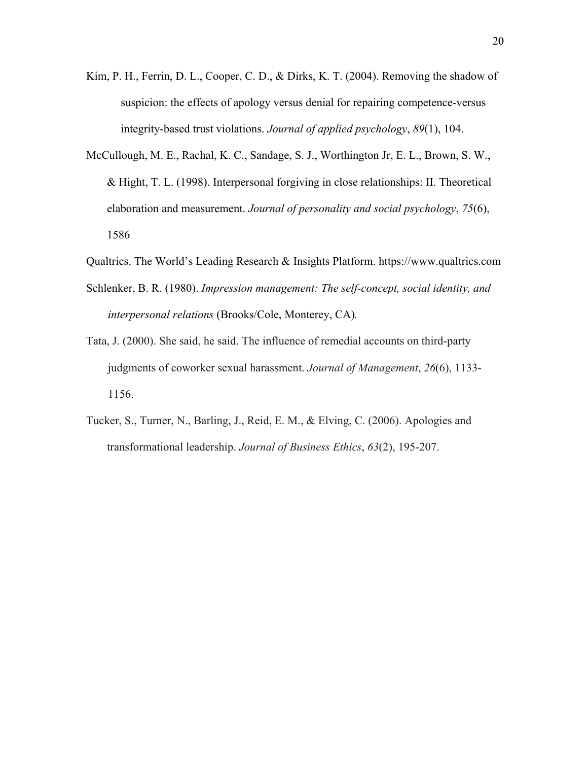- Kim, P. H., Ferrin, D. L., Cooper, C. D., & Dirks, K. T. (2004). Removing the shadow of suspicion: the effects of apology versus denial for repairing competence-versus integrity-based trust violations. *Journal of applied psychology*, *89*(1), 104.
- McCullough, M. E., Rachal, K. C., Sandage, S. J., Worthington Jr, E. L., Brown, S. W., & Hight, T. L. (1998). Interpersonal forgiving in close relationships: II. Theoretical elaboration and measurement. *Journal of personality and social psychology*, *75*(6), 1586
- Qualtrics. The World's Leading Research & Insights Platform. https://www.qualtrics.com
- Schlenker, B. R. (1980). *Impression management: The self-concept, social identity, and interpersonal relations* (Brooks/Cole, Monterey, CA)*.*
- Tata, J. (2000). She said, he said. The influence of remedial accounts on third-party judgments of coworker sexual harassment. *Journal of Management*, *26*(6), 1133- 1156.
- Tucker, S., Turner, N., Barling, J., Reid, E. M., & Elving, C. (2006). Apologies and transformational leadership. *Journal of Business Ethics*, *63*(2), 195-207.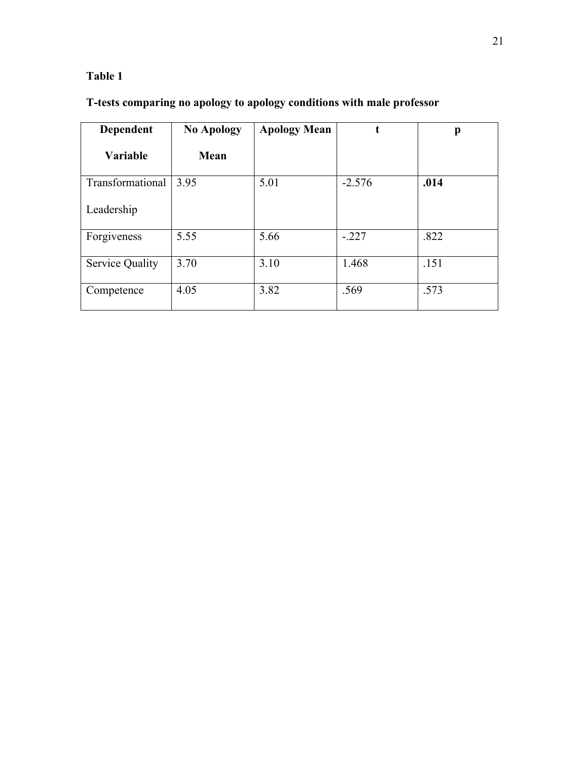# **Table 1**

# **T-tests comparing no apology to apology conditions with male professor**

| Dependent              | <b>No Apology</b> | <b>Apology Mean</b> |          | p    |
|------------------------|-------------------|---------------------|----------|------|
| <b>Variable</b>        | Mean              |                     |          |      |
| Transformational       | 3.95              | 5.01                | $-2.576$ | .014 |
| Leadership             |                   |                     |          |      |
| Forgiveness            | 5.55              | 5.66                | $-.227$  | .822 |
| <b>Service Quality</b> | 3.70              | 3.10                | 1.468    | .151 |
| Competence             | 4.05              | 3.82                | .569     | .573 |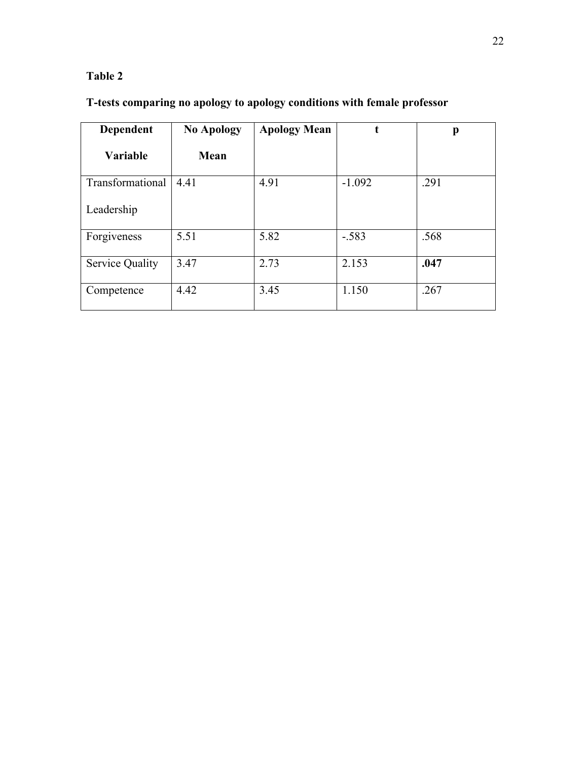### **Table 2**

# **T-tests comparing no apology to apology conditions with female professor**

| Dependent              | <b>No Apology</b> | <b>Apology Mean</b> | t        | p    |
|------------------------|-------------------|---------------------|----------|------|
| <b>Variable</b>        | Mean              |                     |          |      |
| Transformational       | 4.41              | 4.91                | $-1.092$ | .291 |
| Leadership             |                   |                     |          |      |
| Forgiveness            | 5.51              | 5.82                | $-.583$  | .568 |
| <b>Service Quality</b> | 3.47              | 2.73                | 2.153    | .047 |
| Competence             | 4.42              | 3.45                | 1.150    | .267 |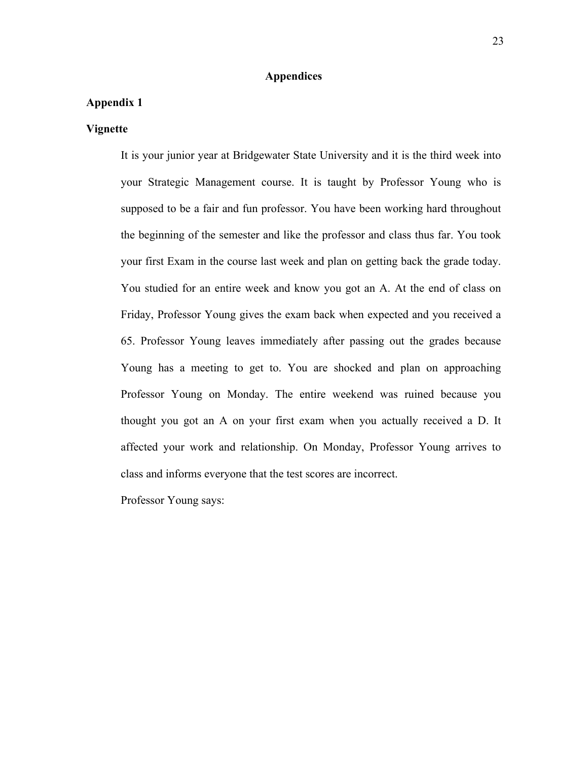#### **Appendices**

### **Appendix 1**

#### **Vignette**

It is your junior year at Bridgewater State University and it is the third week into your Strategic Management course. It is taught by Professor Young who is supposed to be a fair and fun professor. You have been working hard throughout the beginning of the semester and like the professor and class thus far. You took your first Exam in the course last week and plan on getting back the grade today. You studied for an entire week and know you got an A. At the end of class on Friday, Professor Young gives the exam back when expected and you received a 65. Professor Young leaves immediately after passing out the grades because Young has a meeting to get to. You are shocked and plan on approaching Professor Young on Monday. The entire weekend was ruined because you thought you got an A on your first exam when you actually received a D. It affected your work and relationship. On Monday, Professor Young arrives to class and informs everyone that the test scores are incorrect.

Professor Young says: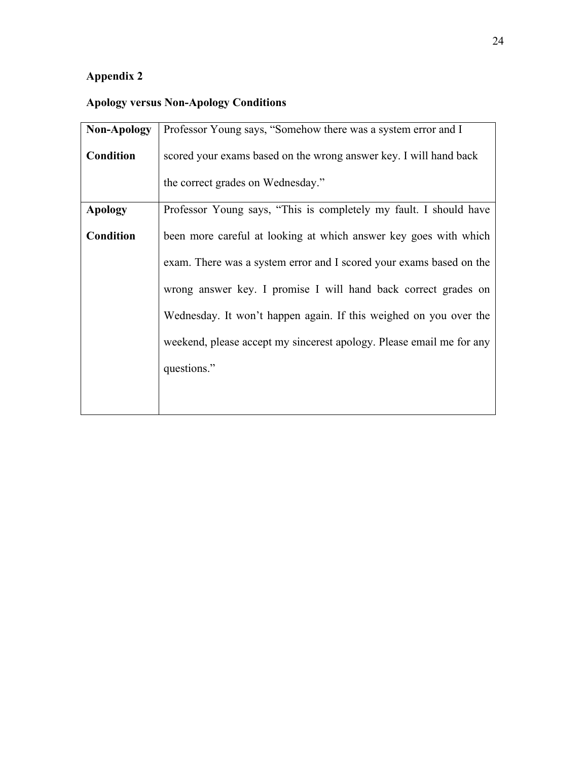# **Appendix 2**

# **Apology versus Non-Apology Conditions**

| <b>Non-Apology</b> | Professor Young says, "Somehow there was a system error and I        |
|--------------------|----------------------------------------------------------------------|
| <b>Condition</b>   | scored your exams based on the wrong answer key. I will hand back    |
|                    | the correct grades on Wednesday."                                    |
| <b>Apology</b>     | Professor Young says, "This is completely my fault. I should have    |
| <b>Condition</b>   | been more careful at looking at which answer key goes with which     |
|                    | exam. There was a system error and I scored your exams based on the  |
|                    | wrong answer key. I promise I will hand back correct grades on       |
|                    | Wednesday. It won't happen again. If this weighed on you over the    |
|                    | weekend, please accept my sincerest apology. Please email me for any |
|                    | questions."                                                          |
|                    |                                                                      |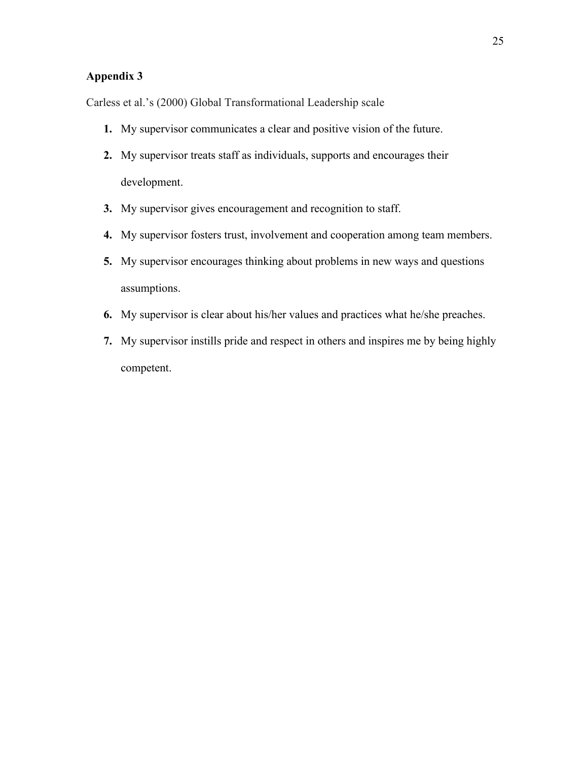### **Appendix 3**

Carless et al.'s (2000) Global Transformational Leadership scale

- **1.** My supervisor communicates a clear and positive vision of the future.
- **2.** My supervisor treats staff as individuals, supports and encourages their development.
- **3.** My supervisor gives encouragement and recognition to staff.
- **4.** My supervisor fosters trust, involvement and cooperation among team members.
- **5.** My supervisor encourages thinking about problems in new ways and questions assumptions.
- **6.** My supervisor is clear about his/her values and practices what he/she preaches.
- **7.** My supervisor instills pride and respect in others and inspires me by being highly competent.